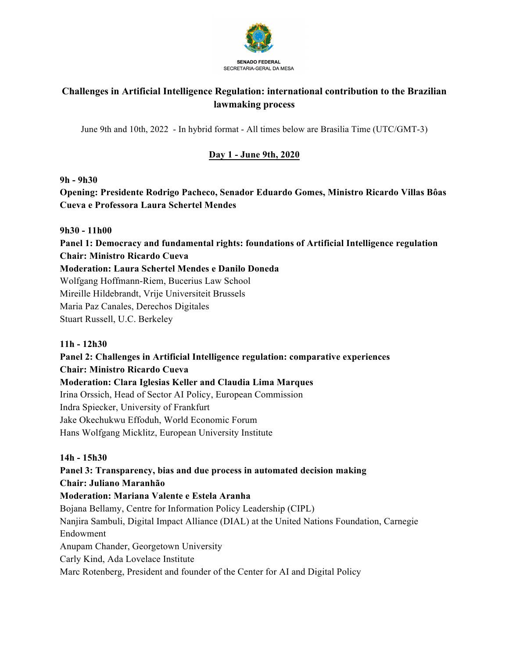

# **Challenges in Artificial Intelligence Regulation: international contribution to the Brazilian lawmaking process**

June 9th and 10th, 2022 - In hybrid format - All times below are Brasilia Time (UTC/GMT-3)

## **Day 1 - June 9th, 2020**

#### **9h - 9h30**

**Opening: Presidente Rodrigo Pacheco, Senador Eduardo Gomes, Ministro Ricardo Villas Bôas Cueva e Professora Laura Schertel Mendes**

#### **9h30 - 11h00**

**Panel 1: Democracy and fundamental rights: foundations of Artificial Intelligence regulation Chair: Ministro Ricardo Cueva** 

#### **Moderation: Laura Schertel Mendes e Danilo Doneda**

Wolfgang Hoffmann-Riem, Bucerius Law School

Mireille Hildebrandt, Vrije Universiteit Brussels

Maria Paz Canales, Derechos Digitales

Stuart Russell, U.C. Berkeley

#### **11h - 12h30**

**Panel 2: Challenges in Artificial Intelligence regulation: comparative experiences Chair: Ministro Ricardo Cueva** 

#### **Moderation: Clara Iglesias Keller and Claudia Lima Marques**

Irina Orssich, Head of Sector AI Policy, European Commission Indra Spiecker, University of Frankfurt

Jake Okechukwu Effoduh, World Economic Forum

Hans Wolfgang Micklitz, European University Institute

#### **14h - 15h30**

### **Panel 3: Transparency, bias and due process in automated decision making Chair: Juliano Maranhão**

### **Moderation: Mariana Valente e Estela Aranha**

Bojana Bellamy, Centre for Information Policy Leadership (CIPL) Nanjira Sambuli, Digital Impact Alliance (DIAL) at the United Nations Foundation, Carnegie Endowment

Anupam Chander, Georgetown University

Carly Kind, Ada Lovelace Institute

Marc Rotenberg, President and founder of the Center for AI and Digital Policy